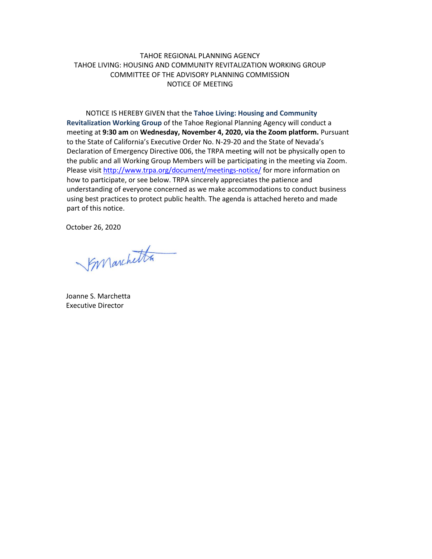## TAHOE REGIONAL PLANNING AGENCY TAHOE LIVING: HOUSING AND COMMUNITY REVITALIZATION WORKING GROUP COMMITTEE OF THE ADVISORY PLANNING COMMISSION NOTICE OF MEETING

NOTICE IS HEREBY GIVEN that the **Tahoe Living: Housing and Community Revitalization Working Group** of the Tahoe Regional Planning Agency will conduct a meeting at **9:30 am** on **Wednesday, November 4, 2020, via the Zoom platform.** Pursuant to the State of California's Executive Order No. N-29-20 and the State of Nevada's Declaration of Emergency Directive 006, the TRPA meeting will not be physically open to the public and all Working Group Members will be participating in the meeting via Zoom. Please visit <http://www.trpa.org/document/meetings-notice/> for more information on how to participate, or see below. TRPA sincerely appreciates the patience and understanding of everyone concerned as we make accommodations to conduct business using best practices to protect public health. The agenda is attached hereto and made part of this notice.

October 26, 2020

Synanchetta

Joanne S. Marchetta Executive Director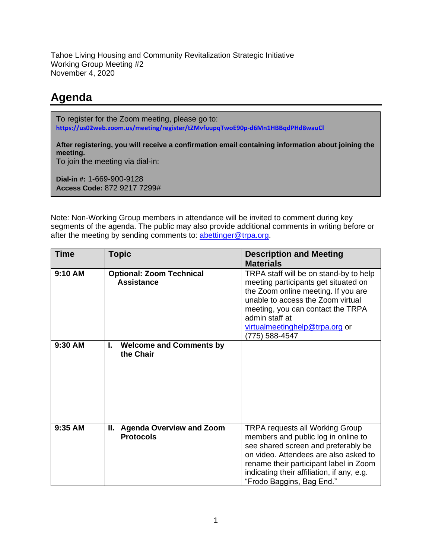Tahoe Living Housing and Community Revitalization Strategic Initiative Working Group Meeting #2 November 4, 2020

## **Agenda**

To register for the Zoom meeting, please go to: **<https://us02web.zoom.us/meeting/register/tZMvfuupqTwoE90p-d6Mn1HBBqdPHd8wauCl>**

**After registering, you will receive a confirmation email containing information about joining the meeting.**

To join the meeting via dial-in:

**Dial-in #:** 1-669-900-9128 **Access Code:** 872 9217 7299#

Note: Non-Working Group members in attendance will be invited to comment during key segments of the agenda. The public may also provide additional comments in writing before or after the meeting by sending comments to: [abettinger@trpa.org.](mailto:abettinger@trpa.org)

| <b>Time</b> | <b>Topic</b>                                               | <b>Description and Meeting</b><br><b>Materials</b>                                                                                                                                                                                                                                 |
|-------------|------------------------------------------------------------|------------------------------------------------------------------------------------------------------------------------------------------------------------------------------------------------------------------------------------------------------------------------------------|
| 9:10 AM     | <b>Optional: Zoom Technical</b><br><b>Assistance</b>       | TRPA staff will be on stand-by to help<br>meeting participants get situated on<br>the Zoom online meeting. If you are<br>unable to access the Zoom virtual<br>meeting, you can contact the TRPA<br>admin staff at<br>virtualmeetinghelp@trpa.org or<br>(775) 588-4547              |
| 9:30 AM     | I.<br><b>Welcome and Comments by</b><br>the Chair          |                                                                                                                                                                                                                                                                                    |
| 9:35 AM     | II.<br><b>Agenda Overview and Zoom</b><br><b>Protocols</b> | <b>TRPA requests all Working Group</b><br>members and public log in online to<br>see shared screen and preferably be<br>on video. Attendees are also asked to<br>rename their participant label in Zoom<br>indicating their affiliation, if any, e.g.<br>"Frodo Baggins, Bag End." |